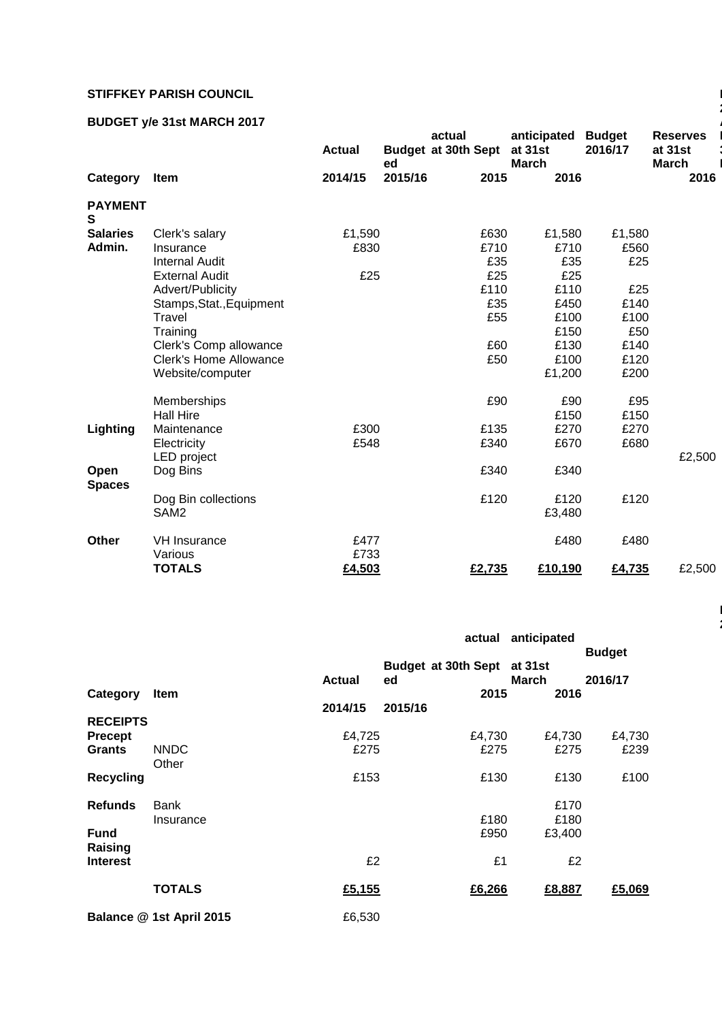## **STIFFKEY PARISH COUNCIL**

## **BUDGET y/e 31st MARCH 2017**

|                       |                                         | <b>Actual</b> | ed      | actual<br><b>Budget at 30th Sept</b> | anticipated<br>at 31st<br><b>March</b> | <b>Budget</b><br>2016/17 | <b>Reserves</b><br>at 31st<br><b>March</b> |
|-----------------------|-----------------------------------------|---------------|---------|--------------------------------------|----------------------------------------|--------------------------|--------------------------------------------|
| Category              | Item                                    | 2014/15       | 2015/16 | 2015                                 | 2016                                   |                          | 2016                                       |
| <b>PAYMENT</b><br>S   |                                         |               |         |                                      |                                        |                          |                                            |
| <b>Salaries</b>       | Clerk's salary                          | £1,590        |         | £630                                 | £1,580                                 | £1,580                   |                                            |
| Admin.                | Insurance                               | £830          |         | £710                                 | £710                                   | £560                     |                                            |
|                       | <b>Internal Audit</b>                   |               |         | £35                                  | £35                                    | £25                      |                                            |
|                       | <b>External Audit</b>                   | £25           |         | £25                                  | £25                                    |                          |                                            |
|                       | Advert/Publicity                        |               |         | £110                                 | £110                                   | £25                      |                                            |
|                       | Stamps, Stat., Equipment                |               |         | £35                                  | £450                                   | £140                     |                                            |
|                       | Travel                                  |               |         | £55                                  | £100                                   | £100                     |                                            |
|                       | Training                                |               |         |                                      | £150                                   | £50                      |                                            |
|                       | Clerk's Comp allowance                  |               |         | £60                                  | £130                                   | £140                     |                                            |
|                       | <b>Clerk's Home Allowance</b>           |               |         | £50                                  | £100                                   | £120                     |                                            |
|                       | Website/computer                        |               |         |                                      | £1,200                                 | £200                     |                                            |
|                       | Memberships                             |               |         | £90                                  | £90                                    | £95                      |                                            |
|                       | <b>Hall Hire</b>                        |               |         |                                      | £150                                   | £150                     |                                            |
| Lighting              | Maintenance                             | £300          |         | £135                                 | £270                                   | £270                     |                                            |
|                       | Electricity                             | £548          |         | £340                                 | £670                                   | £680                     |                                            |
|                       | LED project                             |               |         |                                      |                                        |                          | £2,500                                     |
| Open<br><b>Spaces</b> | Dog Bins                                |               |         | £340                                 | £340                                   |                          |                                            |
|                       | Dog Bin collections<br>SAM <sub>2</sub> |               |         | £120                                 | £120<br>£3,480                         | £120                     |                                            |
| Other                 | <b>VH Insurance</b><br>Various          | £477<br>£733  |         |                                      | £480                                   | £480                     |                                            |
|                       | <b>TOTALS</b>                           | £4,503        |         | £2,735                               | £10,190                                | £4,735                   | £2,500                                     |
|                       |                                         |               |         |                                      |                                        |                          |                                            |

|                        |                          |               | anticipated<br>actual            |                  | <b>Budget</b> |  |
|------------------------|--------------------------|---------------|----------------------------------|------------------|---------------|--|
|                        |                          | <b>Actual</b> | <b>Budget at 30th Sept</b><br>ed | at 31st<br>March | 2016/17       |  |
| Category               | <b>Item</b>              |               | 2015<br>2015/16                  | 2016             |               |  |
| <b>RECEIPTS</b>        |                          | 2014/15       |                                  |                  |               |  |
| <b>Precept</b>         |                          | £4,725        | £4,730                           | £4,730           | £4,730        |  |
| <b>Grants</b>          | <b>NNDC</b><br>Other     | £275          | £275                             | £275             | £239          |  |
| <b>Recycling</b>       |                          | £153          | £130                             | £130             | £100          |  |
| <b>Refunds</b>         | <b>Bank</b>              |               |                                  | £170             |               |  |
|                        | Insurance                |               | £180                             | £180             |               |  |
| <b>Fund</b><br>Raising |                          |               | £950                             | £3,400           |               |  |
| <b>Interest</b>        |                          | £2            | £1                               | £2               |               |  |
|                        | <b>TOTALS</b>            | £5,155        | £6,266                           | £8,887           | £5,069        |  |
|                        | Balance @ 1st April 2015 | £6,530        |                                  |                  |               |  |

**2**

**Page 2 of** 

**2**